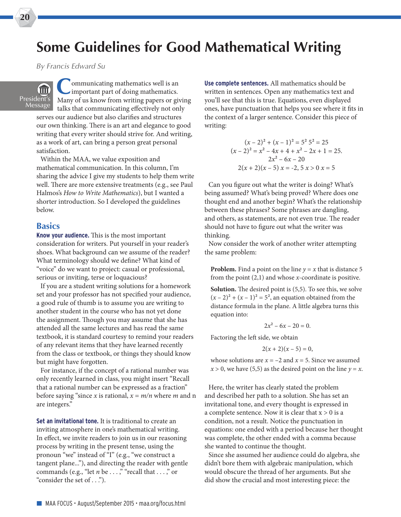## **Some Guidelines for Good Mathematical Writing**

*By Francis Edward Su*

 $\widehat{\mathbb{H}}$ President's Message

Communicating mathematics well is an important part of doing mathematics. Many of us know from writing papers or giving talks that communicating efectively not only

serves our audience but also clarifes and structures our own thinking. There is an art and elegance to good writing that every writer should strive for. And writing, as a work of art, can bring a person great personal satisfaction.

Within the MAA, we value exposition and mathematical communication. In this column, I'm sharing the advice I give my students to help them write well. There are more extensive treatments (e.g., see Paul Halmos's *How to Write Mathematics*), but I wanted a shorter introduction. So I developed the guidelines below.

## **Basics**

**Know your audience.** This is the most important consideration for writers. Put yourself in your reader's shoes. What background can we assume of the reader? What terminology should we defne? What kind of "voice" do we want to project: casual or professional, serious or inviting, terse or loquacious?

If you are a student writing solutions for a homework set and your professor has not specifed your audience, a good rule of thumb is to assume you are writing to another student in the course who has not yet done the assignment. Though you may assume that she has attended all the same lectures and has read the same textbook, it is standard courtesy to remind your readers of any relevant items that they have learned recently from the class or textbook, or things they should know but might have forgotten.

For instance, if the concept of a rational number was only recently learned in class, you might insert "Recall that a rational number can be expressed as a fraction" before saying "since *x* is rational, *x* = *m/n* where *m* and n are integers."

**Set an invitational tone.** It is traditional to create an inviting atmosphere in one's mathematical writing. In effect, we invite readers to join us in our reasoning process by writing in the present tense, using the pronoun "we" instead of "I" (e.g., "we construct a tangent plane..."), and directing the reader with gentle commands (e.g., "let *n* be . . . ," "recall that . . . ," or "consider the set of . . .").

**Use complete sentences.** All mathematics should be written in sentences. Open any mathematics text and you'll see that this is true. Equations, even displayed ones, have punctuation that helps you see where it fts in the context of a larger sentence. Consider this piece of writing:

$$
(x-2)^2 + (x-1)^2 = 5^2 5^2 = 25
$$
  
\n
$$
(x-2)^2 = x^2 - 4x + 4 + x^2 - 2x + 1 = 25.
$$
  
\n
$$
2x^2 - 6x - 20
$$
  
\n
$$
2(x+2)(x-5) = -2, 5x > 0 \text{ x = 5}
$$

Can you fgure out what the writer is doing? What's being assumed? What's being proved? Where does one thought end and another begin? What's the relationship between these phrases? Some phrases are dangling, and others, as statements, are not even true. The reader should not have to fgure out what the writer was thinking.

Now consider the work of another writer attempting the same problem:

**Problem.** Find a point on the line  $y = x$  that is distance 5 from the point (2,1) and whose *x*-coordinate is positive.

**Solution.** The desired point is (5,5). To see this, we solve  $(x-2)^2 + (x-1)^2 = 5^2$ , an equation obtained from the distance formula in the plane. A little algebra turns this equation into:

$$
2x^2 - 6x - 20 = 0.
$$

Factoring the left side, we obtain

$$
2(x+2)(x-5) = 0,
$$

whose solutions are  $x = -2$  and  $x = 5$ . Since we assumed  $x > 0$ , we have (5,5) as the desired point on the line  $y = x$ .

Here, the writer has clearly stated the problem and described her path to a solution. She has set an invitational tone, and every thought is expressed in a complete sentence. Now it is clear that  $x > 0$  is a condition, not a result. Notice the punctuation in equations: one ended with a period because her thought was complete, the other ended with a comma because she wanted to continue the thought.

Since she assumed her audience could do algebra, she didn't bore them with algebraic manipulation, which would obscure the thread of her arguments. But she did show the crucial and most interesting piece: the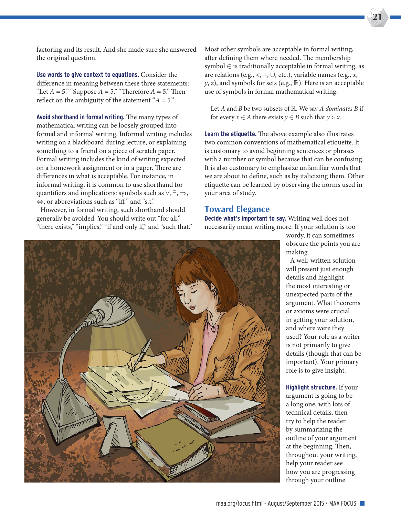factoring and its result. And she made sure she answered the original question.

**Use words to give context to equations.** Consider the diference in meaning between these three statements: "Let  $A = 5$ ." "Suppose  $A = 5$ ." "Therefore  $A = 5$ ." Then reflect on the ambiguity of the statement " $A = 5$ ."

**Avoid shorthand in formal writing.** The many types of mathematical writing can be loosely grouped into formal and informal writing. Informal writing includes writing on a blackboard during lecture, or explaining something to a friend on a piece of scratch paper. Formal writing includes the kind of writing expected on a homework assignment or in a paper. There are diferences in what is acceptable. For instance, in informal writing, it is common to use shorthand for quantifiers and implications: symbols such as  $\forall$ ,  $\exists$ ,  $\Rightarrow$ ,  $\Leftrightarrow$ , or abbreviations such as "iff" and "s.t."

However, in formal writing, such shorthand should generally be avoided. You should write out "for all," "there exists," "implies," "if and only if," and "such that." Most other symbols are acceptable in formal writing, after defining them where needed. The membership  $symbol \in$  is traditionally acceptable in formal writing, as are relations (e.g.,  $\lt$ ,  $+$ ,  $\cup$ , etc.), variable names (e.g., *x*,  $y, z$ ), and symbols for sets (e.g.,  $\mathbb{R}$ ). Here is an acceptable use of symbols in formal mathematical writing:

Let *A* and *B* be two subsets of  $\mathbb{R}$ . We say *A dominates B* if for every  $x \in A$  there exists  $y \in B$  such that  $y > x$ .

**Learn the etiquette.** The above example also illustrates two common conventions of mathematical etiquette. It is customary to avoid beginning sentences or phrases with a number or symbol because that can be confusing. It is also customary to emphasize unfamiliar words that we are about to defne, such as by italicizing them. Other etiquette can be learned by observing the norms used in your area of study.

## **Toward Elegance**

**Decide what's important to say.** Writing well does not necessarily mean writing more. If your solution is too



wordy, it can sometimes obscure the points you are making.

**21**

A well-written solution will present just enough details and highlight the most interesting or unexpected parts of the argument. What theorems or axioms were crucial in getting your solution, and where were they used? Your role as a writer is not primarily to give details (though that can be important). Your primary role is to give insight.

**Highlight structure.** If your argument is going to be a long one, with lots of technical details, then try to help the reader by summarizing the outline of your argument at the beginning. Then, throughout your writing, help your reader see how you are progressing through your outline.